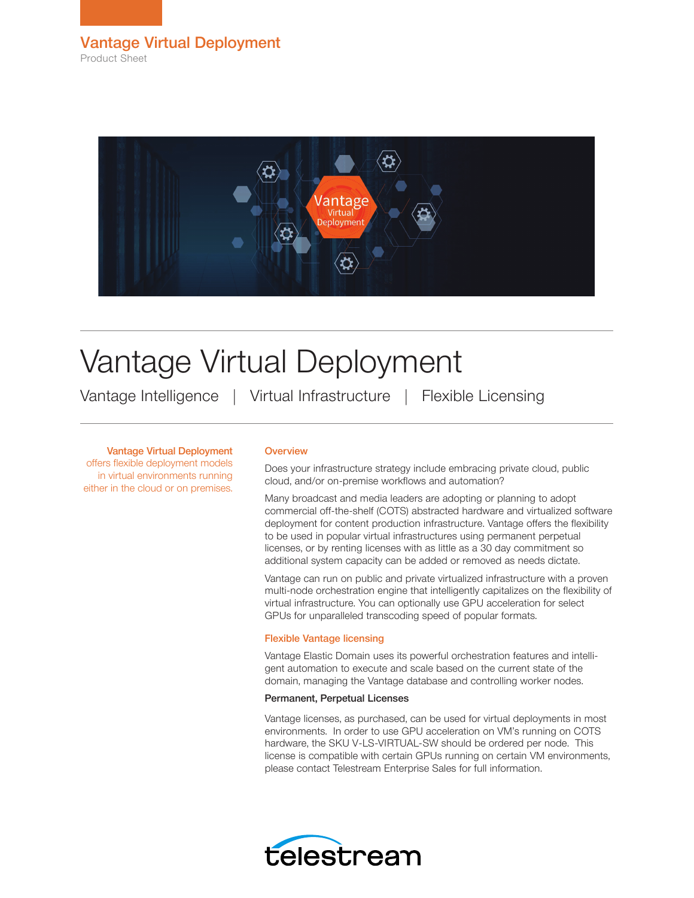

# Vantage Virtual Deployment

Vantage Intelligence | Virtual Infrastructure | Flexible Licensing

Vantage Virtual Deployment

offers flexible deployment models in virtual environments running either in the cloud or on premises.

# **Overview**

Does your infrastructure strategy include embracing private cloud, public cloud, and/or on-premise workflows and automation?

Many broadcast and media leaders are adopting or planning to adopt commercial off-the-shelf (COTS) abstracted hardware and virtualized software deployment for content production infrastructure. Vantage offers the flexibility to be used in popular virtual infrastructures using permanent perpetual licenses, or by renting licenses with as little as a 30 day commitment so additional system capacity can be added or removed as needs dictate.

Vantage can run on public and private virtualized infrastructure with a proven multi-node orchestration engine that intelligently capitalizes on the flexibility of virtual infrastructure. You can optionally use GPU acceleration for select GPUs for unparalleled transcoding speed of popular formats.

# Flexible Vantage licensing

Vantage Elastic Domain uses its powerful orchestration features and intelligent automation to execute and scale based on the current state of the domain, managing the Vantage database and controlling worker nodes.

## Permanent, Perpetual Licenses

Vantage licenses, as purchased, can be used for virtual deployments in most environments. In order to use GPU acceleration on VM's running on COTS hardware, the SKU V-LS-VIRTUAL-SW should be ordered per node. This license is compatible with certain GPUs running on certain VM environments, please contact Telestream Enterprise Sales for full information.